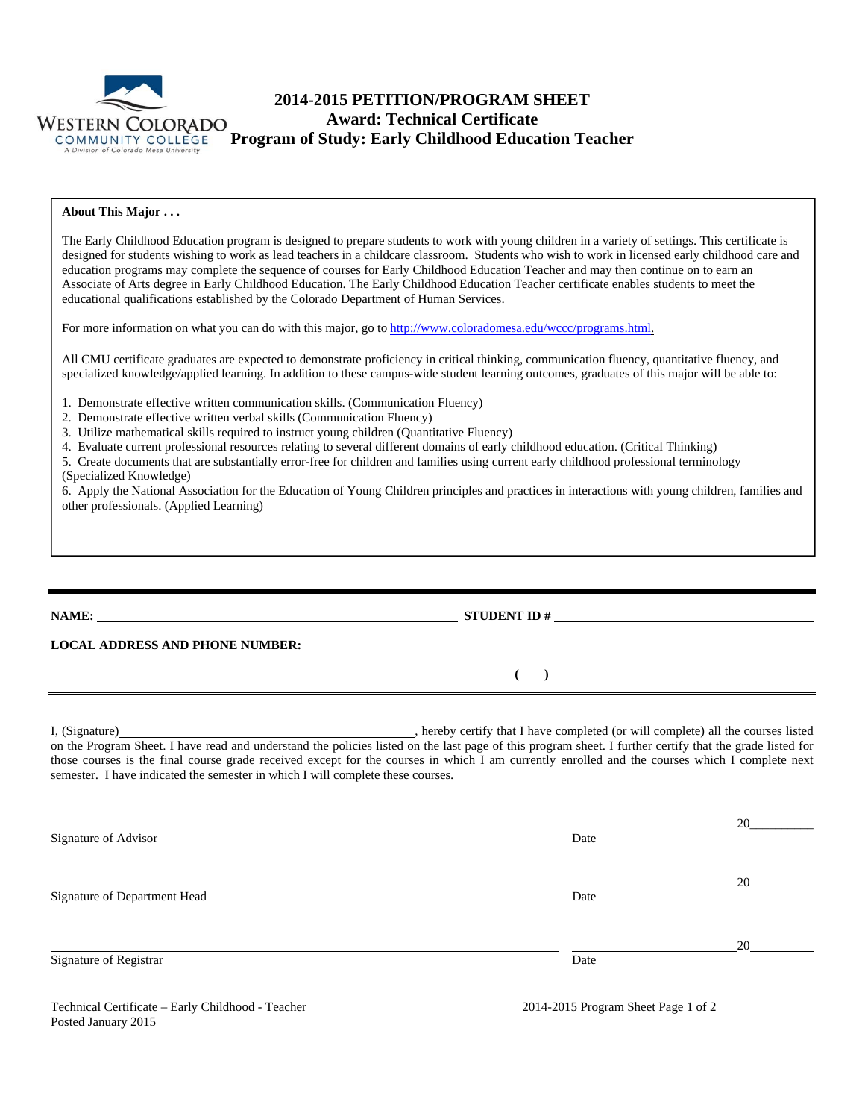

# **2014-2015 PETITION/PROGRAM SHEET Award: Technical Certificate Program of Study: Early Childhood Education Teacher**

#### **About This Major . . .**

The Early Childhood Education program is designed to prepare students to work with young children in a variety of settings. This certificate is designed for students wishing to work as lead teachers in a childcare classroom. Students who wish to work in licensed early childhood care and education programs may complete the sequence of courses for Early Childhood Education Teacher and may then continue on to earn an Associate of Arts degree in Early Childhood Education. The Early Childhood Education Teacher certificate enables students to meet the educational qualifications established by the Colorado Department of Human Services.

For more information on what you can do with this major, go to http://www.coloradomesa.edu/wccc/programs.html.

All CMU certificate graduates are expected to demonstrate proficiency in critical thinking, communication fluency, quantitative fluency, and specialized knowledge/applied learning. In addition to these campus-wide student learning outcomes, graduates of this major will be able to:

- 1. Demonstrate effective written communication skills. (Communication Fluency)
- 2. Demonstrate effective written verbal skills (Communication Fluency)
- 3. Utilize mathematical skills required to instruct young children (Quantitative Fluency)
- 4. Evaluate current professional resources relating to several different domains of early childhood education. (Critical Thinking)
- 5. Create documents that are substantially error-free for children and families using current early childhood professional terminology (Specialized Knowledge)

6. Apply the National Association for the Education of Young Children principles and practices in interactions with young children, families and other professionals. (Applied Learning)

## **NAME: STUDENT ID # STUDENT ID # STUDENT ID # STUDENT ID # STUDENT ID # STUDENT ID # STUDENT ID # STUDENT ID # STUDENT ID # STUDENT 1D + STUDENT 1D + STUDENT 1D + STUDENT 1D + STUDENT 1D + STU**

 **( )** 

**LOCAL ADDRESS AND PHONE NUMBER:**

I, (Signature) , hereby certify that I have completed (or will complete) all the courses listed on the Program Sheet. I have read and understand the policies listed on the last page of this program sheet. I further certify that the grade listed for those courses is the final course grade received except for the courses in which I am currently enrolled and the courses which I complete next semester. I have indicated the semester in which I will complete these courses.

|                              |      | 20 |
|------------------------------|------|----|
| Signature of Advisor         | Date |    |
|                              |      | 20 |
| Signature of Department Head | Date |    |
|                              |      | 20 |
| Signature of Registrar       | Date |    |

Technical Certificate – Early Childhood - Teacher 2014-2015 Program Sheet Page 1 of 2 Posted January 2015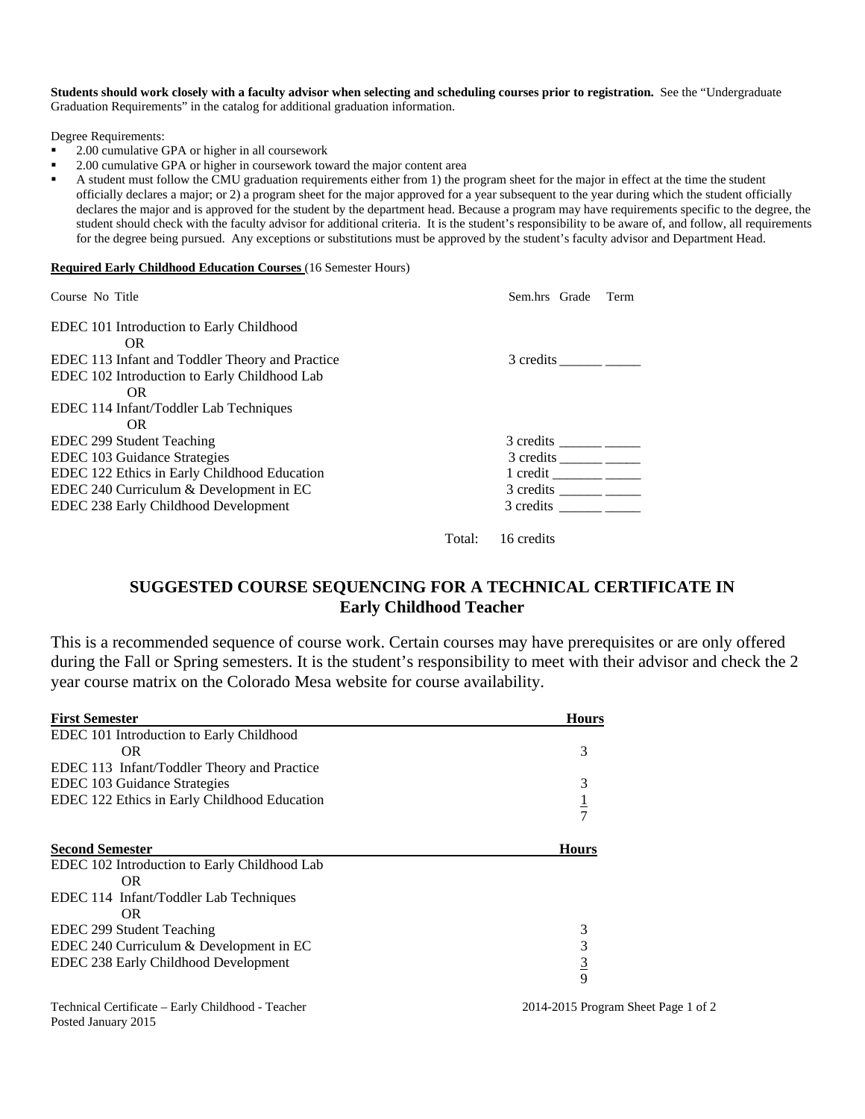**Students should work closely with a faculty advisor when selecting and scheduling courses prior to registration.** See the "Undergraduate Graduation Requirements" in the catalog for additional graduation information.

Degree Requirements:

- 2.00 cumulative GPA or higher in all coursework
- 2.00 cumulative GPA or higher in coursework toward the major content area

 A student must follow the CMU graduation requirements either from 1) the program sheet for the major in effect at the time the student officially declares a major; or 2) a program sheet for the major approved for a year subsequent to the year during which the student officially declares the major and is approved for the student by the department head. Because a program may have requirements specific to the degree, the student should check with the faculty advisor for additional criteria. It is the student's responsibility to be aware of, and follow, all requirements for the degree being pursued. Any exceptions or substitutions must be approved by the student's faculty advisor and Department Head.

#### **Required Early Childhood Education Courses** (16 Semester Hours)

| Course No Title                                        | Sem.hrs Grade Term |
|--------------------------------------------------------|--------------------|
| EDEC 101 Introduction to Early Childhood               |                    |
| OR.<br>EDEC 113 Infant and Toddler Theory and Practice |                    |
| EDEC 102 Introduction to Early Childhood Lab           |                    |
| OR.                                                    |                    |
| EDEC 114 Infant/Toddler Lab Techniques                 |                    |
| OR.                                                    |                    |
| EDEC 299 Student Teaching                              |                    |
| EDEC 103 Guidance Strategies                           | 3 credits          |
| EDEC 122 Ethics in Early Childhood Education           | $1 \text{ credit}$ |
| EDEC 240 Curriculum & Development in EC                |                    |
| EDEC 238 Early Childhood Development                   | 3 credits          |
|                                                        |                    |

Total: 16 credits

## **SUGGESTED COURSE SEQUENCING FOR A TECHNICAL CERTIFICATE IN Early Childhood Teacher**

This is a recommended sequence of course work. Certain courses may have prerequisites or are only offered during the Fall or Spring semesters. It is the student's responsibility to meet with their advisor and check the 2 year course matrix on the Colorado Mesa website for course availability.

| <b>First Semester</b>                        | <b>Hours</b>  |
|----------------------------------------------|---------------|
| EDEC 101 Introduction to Early Childhood     |               |
| OR.                                          | 3             |
| EDEC 113 Infant/Toddler Theory and Practice  |               |
| EDEC 103 Guidance Strategies                 | 3             |
| EDEC 122 Ethics in Early Childhood Education | $\frac{1}{7}$ |
|                                              |               |
| <b>Second Semester</b>                       | <b>Hours</b>  |
| EDEC 102 Introduction to Early Childhood Lab |               |
| OR.                                          |               |
| EDEC 114 Infant/Toddler Lab Techniques       |               |
| OR.                                          |               |
| EDEC 299 Student Teaching                    | 3             |
| EDEC 240 Curriculum & Development in EC      | 3             |
| EDEC 238 Early Childhood Development         | $rac{3}{9}$   |
|                                              |               |
|                                              |               |

Technical Certificate – Early Childhood - Teacher 2014-2015 Program Sheet Page 1 of 2 Posted January 2015